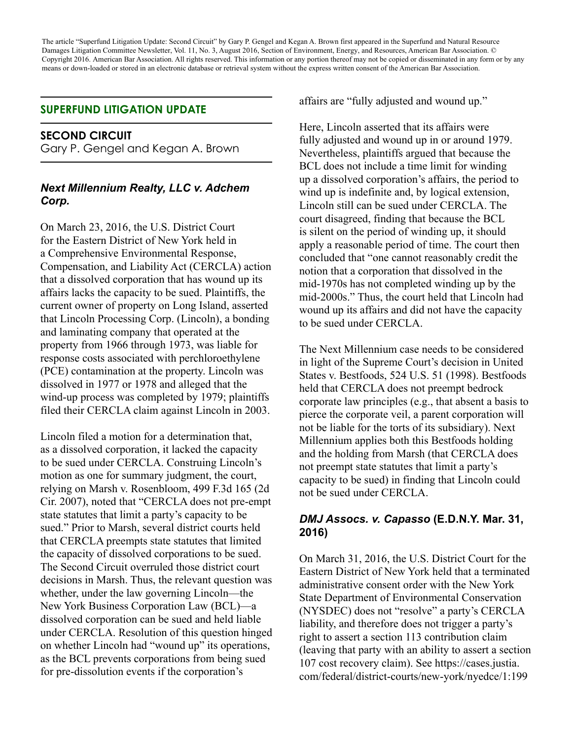The article "Superfund Litigation Update: Second Circuit" by Gary P. Gengel and Kegan A. Brown first appeared in the Superfund and Natural Resource Damages Litigation Committee Newsletter, Vol. 11, No. 3, August 2016, Section of Environment, Energy, and Resources, American Bar Association. © Copyright 2016. American Bar Association. All rights reserved. This information or any portion thereof may not be copied or disseminated in any form or by any means or down-loaded or stored in an electronic database or retrieval system without the express written consent of the American Bar Association.

#### **SUPERFUND LITIGATION UPDATE**

**SECOND CIRCUIT**

Gary P. Gengel and Kegan A. Brown

# *Next Millennium Realty, LLC v. Adchem Corp.*

On March 23, 2016, the U.S. District Court for the Eastern District of New York held in a Comprehensive Environmental Response, Compensation, and Liability Act (CERCLA) action that a dissolved corporation that has wound up its affairs lacks the capacity to be sued. Plaintiffs, the current owner of property on Long Island, asserted that Lincoln Processing Corp. (Lincoln), a bonding and laminating company that operated at the property from 1966 through 1973, was liable for response costs associated with perchloroethylene (PCE) contamination at the property. Lincoln was dissolved in 1977 or 1978 and alleged that the wind-up process was completed by 1979; plaintiffs filed their CERCLA claim against Lincoln in 2003.

Lincoln filed a motion for a determination that, as a dissolved corporation, it lacked the capacity to be sued under CERCLA. Construing Lincoln's motion as one for summary judgment, the court, relying on Marsh v. Rosenbloom, 499 F.3d 165 (2d Cir. 2007), noted that "CERCLA does not pre-empt state statutes that limit a party's capacity to be sued." Prior to Marsh, several district courts held that CERCLA preempts state statutes that limited the capacity of dissolved corporations to be sued. The Second Circuit overruled those district court decisions in Marsh. Thus, the relevant question was whether, under the law governing Lincoln—the New York Business Corporation Law (BCL)—a dissolved corporation can be sued and held liable under CERCLA. Resolution of this question hinged on whether Lincoln had "wound up" its operations, as the BCL prevents corporations from being sued for pre-dissolution events if the corporation's

affairs are "fully adjusted and wound up."

Here, Lincoln asserted that its affairs were fully adjusted and wound up in or around 1979. Nevertheless, plaintiffs argued that because the BCL does not include a time limit for winding up a dissolved corporation's affairs, the period to wind up is indefinite and, by logical extension, Lincoln still can be sued under CERCLA. The court disagreed, finding that because the BCL is silent on the period of winding up, it should apply a reasonable period of time. The court then concluded that "one cannot reasonably credit the notion that a corporation that dissolved in the mid-1970s has not completed winding up by the mid-2000s." Thus, the court held that Lincoln had wound up its affairs and did not have the capacity to be sued under CERCLA.

The Next Millennium case needs to be considered in light of the Supreme Court's decision in United States v. Bestfoods, 524 U.S. 51 (1998). Bestfoods held that CERCLA does not preempt bedrock corporate law principles (e.g., that absent a basis to pierce the corporate veil, a parent corporation will not be liable for the torts of its subsidiary). Next Millennium applies both this Bestfoods holding and the holding from Marsh (that CERCLA does not preempt state statutes that limit a party's capacity to be sued) in finding that Lincoln could not be sued under CERCLA.

## *DMJ Assocs. v. Capasso* **(E.D.N.Y. Mar. 31, 2016)**

On March 31, 2016, the U.S. District Court for the Eastern District of New York held that a terminated administrative consent order with the New York State Department of Environmental Conservation (NYSDEC) does not "resolve" a party's CERCLA liability, and therefore does not trigger a party's right to assert a section 113 contribution claim (leaving that party with an ability to assert a section 107 cost recovery claim). See https://cases.justia. com/federal/district-courts/new-york/nyedce/1:199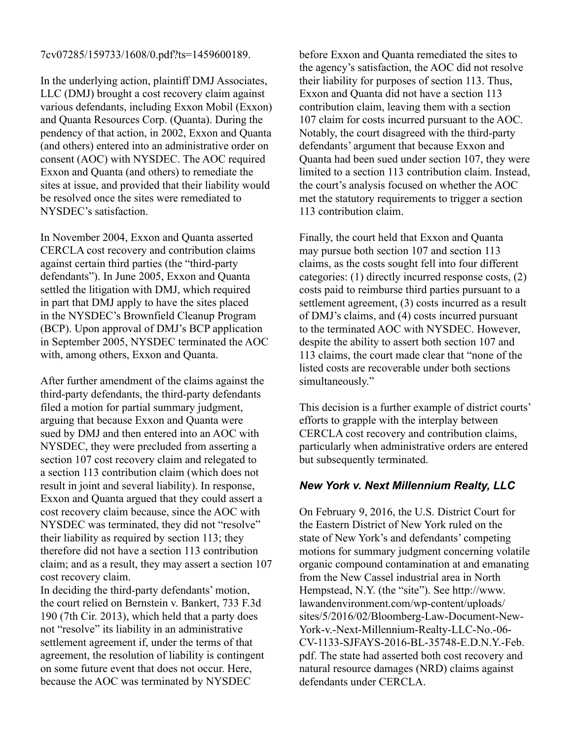#### 7cv07285/159733/1608/0.pdf?ts=1459600189.

In the underlying action, plaintiff DMJ Associates, LLC (DMJ) brought a cost recovery claim against various defendants, including Exxon Mobil (Exxon) and Quanta Resources Corp. (Quanta). During the pendency of that action, in 2002, Exxon and Quanta (and others) entered into an administrative order on consent (AOC) with NYSDEC. The AOC required Exxon and Quanta (and others) to remediate the sites at issue, and provided that their liability would be resolved once the sites were remediated to NYSDEC's satisfaction.

In November 2004, Exxon and Quanta asserted CERCLA cost recovery and contribution claims against certain third parties (the "third-party defendants"). In June 2005, Exxon and Quanta settled the litigation with DMJ, which required in part that DMJ apply to have the sites placed in the NYSDEC's Brownfield Cleanup Program (BCP). Upon approval of DMJ's BCP application in September 2005, NYSDEC terminated the AOC with, among others, Exxon and Quanta.

After further amendment of the claims against the third-party defendants, the third-party defendants filed a motion for partial summary judgment, arguing that because Exxon and Quanta were sued by DMJ and then entered into an AOC with NYSDEC, they were precluded from asserting a section 107 cost recovery claim and relegated to a section 113 contribution claim (which does not result in joint and several liability). In response, Exxon and Quanta argued that they could assert a cost recovery claim because, since the AOC with NYSDEC was terminated, they did not "resolve" their liability as required by section 113; they therefore did not have a section 113 contribution claim; and as a result, they may assert a section 107 cost recovery claim.

In deciding the third-party defendants' motion, the court relied on Bernstein v. Bankert, 733 F.3d 190 (7th Cir. 2013), which held that a party does not "resolve" its liability in an administrative settlement agreement if, under the terms of that agreement, the resolution of liability is contingent on some future event that does not occur. Here, because the AOC was terminated by NYSDEC

before Exxon and Quanta remediated the sites to the agency's satisfaction, the AOC did not resolve their liability for purposes of section 113. Thus, Exxon and Quanta did not have a section 113 contribution claim, leaving them with a section 107 claim for costs incurred pursuant to the AOC. Notably, the court disagreed with the third-party defendants' argument that because Exxon and Quanta had been sued under section 107, they were limited to a section 113 contribution claim. Instead, the court's analysis focused on whether the AOC met the statutory requirements to trigger a section 113 contribution claim.

Finally, the court held that Exxon and Quanta may pursue both section 107 and section 113 claims, as the costs sought fell into four different categories: (1) directly incurred response costs, (2) costs paid to reimburse third parties pursuant to a settlement agreement, (3) costs incurred as a result of DMJ's claims, and (4) costs incurred pursuant to the terminated AOC with NYSDEC. However, despite the ability to assert both section 107 and 113 claims, the court made clear that "none of the listed costs are recoverable under both sections simultaneously."

This decision is a further example of district courts' efforts to grapple with the interplay between CERCLA cost recovery and contribution claims, particularly when administrative orders are entered but subsequently terminated.

## *New York v. Next Millennium Realty, LLC*

On February 9, 2016, the U.S. District Court for the Eastern District of New York ruled on the state of New York's and defendants' competing motions for summary judgment concerning volatile organic compound contamination at and emanating from the New Cassel industrial area in North Hempstead, N.Y. (the "site"). See http://www. lawandenvironment.com/wp-content/uploads/ sites/5/2016/02/Bloomberg-Law-Document-New-York-v.-Next-Millennium-Realty-LLC-No.-06- CV-1133-SJFAYS-2016-BL-35748-E.D.N.Y.-Feb. pdf. The state had asserted both cost recovery and natural resource damages (NRD) claims against defendants under CERCLA.